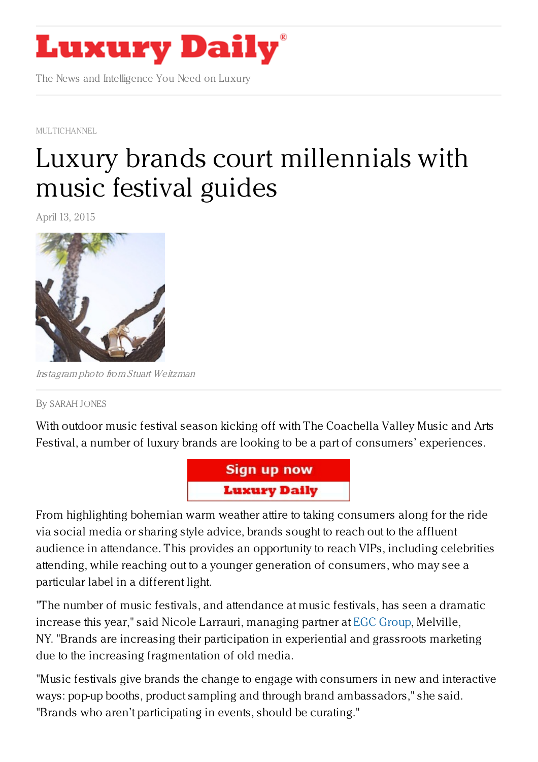

The News and Intelligence You Need on Luxury

[MULTICHANNEL](https://www.luxurydaily.com/category/news/multichannel/)

# Luxury brands court [millennials](https://www.luxurydaily.com/luxury-brands-court-millennials-with-music-festival-guides/) with music festival guides

April 13, 2015



Instagram photo from Stuart Weitzman

#### By [SARAH](/author/sarah-jones) JONES

With outdoor music festival season kicking off with The Coachella Valley Music and Arts Festival, a number of luxury brands are looking to be a part of consumers' experiences.



From highlighting bohemian warm weather attire to taking consumers along for the ride via social media or sharing style advice, brands sought to reach out to the affluent audience in attendance. This provides an opportunity to reach VIPs, including celebrities attending, while reaching out to a younger generation of consumers, who may see a particular label in a different light.

"The number of music festivals, and attendance at music festivals, has seen a dramatic increase this year," said Nicole Larrauri, managing partner at EGC [Group](http://www.egcgroup.com/), Melville, NY. "Brands are increasing their participation in experiential and grassroots marketing due to the increasing fragmentation of old media.

"Music festivals give brands the change to engage with consumers in new and interactive ways: pop-up booths, product sampling and through brand ambassadors," she said. "Brands who aren't participating in events, should be curating."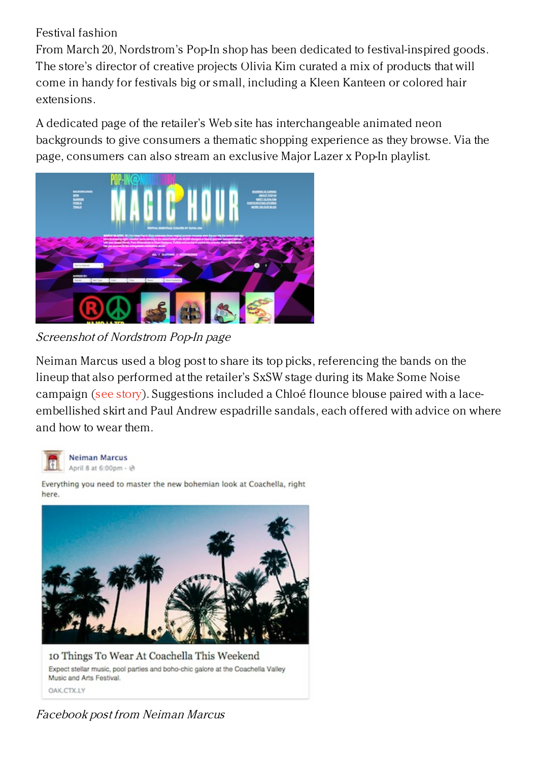Festival fashion

From March 20, Nordstrom's Pop-In shop has been dedicated to festival-inspired goods. The store's director of creative projects Olivia Kim curated a mix of products that will come in handy for festivals big or small, including a Kleen Kanteen or colored hair extensions.

A dedicated page of the retailer's Web site has interchangeable animated neon backgrounds to give consumers a thematic shopping experience as they browse. Via the page, consumers can also stream an exclusive Major Lazer x Pop-In playlist.



Screenshot of Nordstrom Pop-In page

Neiman Marcus used a blog post to share its top picks, referencing the bands on the lineup that also performed at the retailer's SxSW stage during its Make Some Noise campaign (see [story](https://www.luxurydaily.com/128791/)). Suggestions included a Chloé flounce blouse paired with a laceembellished skirt and Paul Andrew espadrille sandals, each offered with advice on where and how to wear them.



**Neiman Marcus** April 8 at 6:00pm - @

Everything you need to master the new bohemian look at Coachella, right here.



10 Things To Wear At Coachella This Weekend Expect stellar music, pool parties and boho-chic galore at the Coachella Valley Music and Arts Festival. OAK.CTX.LY

Facebook post from Neiman Marcus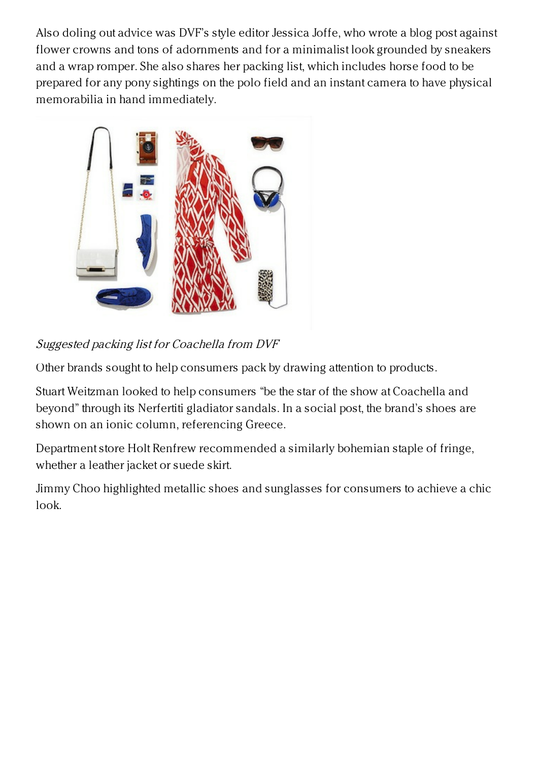Also doling out advice was DVF's style editor Jessica Joffe, who wrote a blog post against flower crowns and tons of adornments and for a minimalist look grounded by sneakers and a wrap romper. She also shares her packing list, which includes horse food to be prepared for any pony sightings on the polo field and an instant camera to have physical memorabilia in hand immediately.



Suggested packing list for Coachella from DVF

Other brands sought to help consumers pack by drawing attention to products.

Stuart Weitzman looked to help consumers "be the star of the show at Coachella and beyond" through its Nerfertiti gladiator sandals. In a social post, the brand's shoes are shown on an ionic column, referencing Greece.

Department store Holt Renfrew recommended a similarly bohemian staple of fringe, whether a leather jacket or suede skirt.

Jimmy Choo highlighted metallic shoes and sunglasses for consumers to achieve a chic look.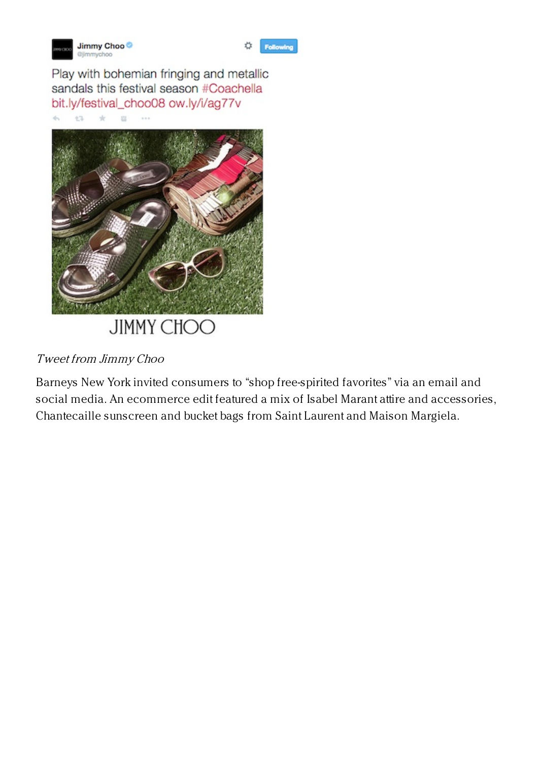

d.

 $22$ 

÷1



Play with bohemian fringing and metallic sandals this festival season #Coachella bit.ly/festival\_choo08 ow.ly/i/ag77v



## **JIMMY CHOO**

#### Tweet from Jimmy Choo

Barneys New York invited consumers to "shop free-spirited favorites" via an email and social media. An ecommerce edit featured a mix of Isabel Marant attire and accessories, Chantecaille sunscreen and bucket bags from Saint Laurent and Maison Margiela.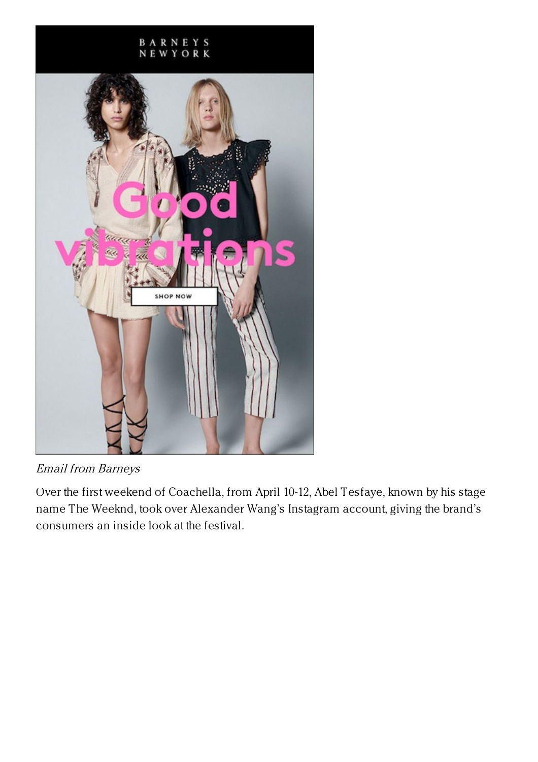

Email from Barneys

Over the first weekend of Coachella, from April 10-12, Abel Tesfaye, known by his stage name The Weeknd, took over Alexander Wang's Instagram account, giving the brand's consumers an inside look at the festival.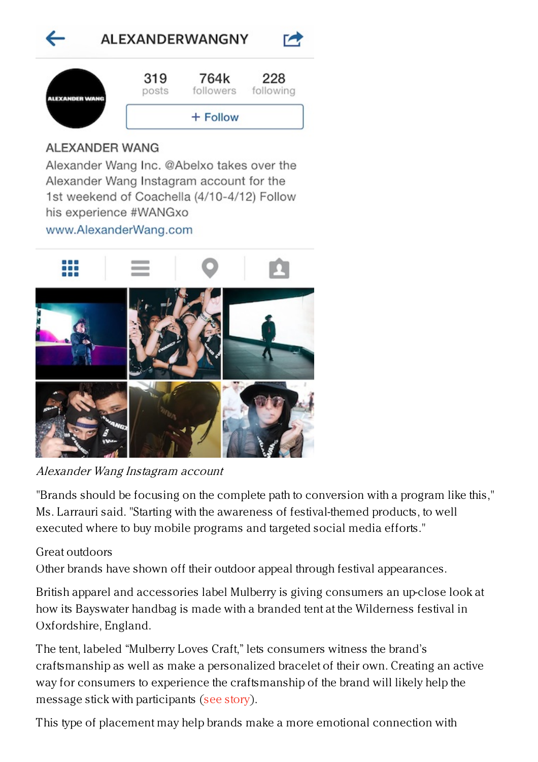

319

posts



764k followers

228

 $+$  Follow

#### following

AI FXANDER WANG

Alexander Wang Inc. @Abelxo takes over the Alexander Wang Instagram account for the 1st weekend of Coachella (4/10-4/12) Follow his experience #WANGxo

www.AlexanderWang.com



### Alexander Wang Instagram account

"Brands should be focusing on the complete path to conversion with a program like this," Ms. Larrauri said. "Starting with the awareness of festival-themed products, to well executed where to buy mobile programs and targeted social media efforts."

### Great outdoors

Other brands have shown off their outdoor appeal through festival appearances.

British apparel and accessories label Mulberry is giving consumers an up-close look at how its Bayswater handbag is made with a branded tent at the Wilderness festival in Oxfordshire, England.

The tent, labeled "Mulberry Loves Craft," lets consumers witness the brand's craftsmanship as well as make a personalized bracelet of their own. Creating an active way for consumers to experience the craftsmanship of the brand will likely help the message stick with participants (see [story](https://www.luxurydaily.com/mulberry-blends-craftsmanship-with-crafting-with-festival-appearance/)).

This type of placement may help brands make a more emotional connection with